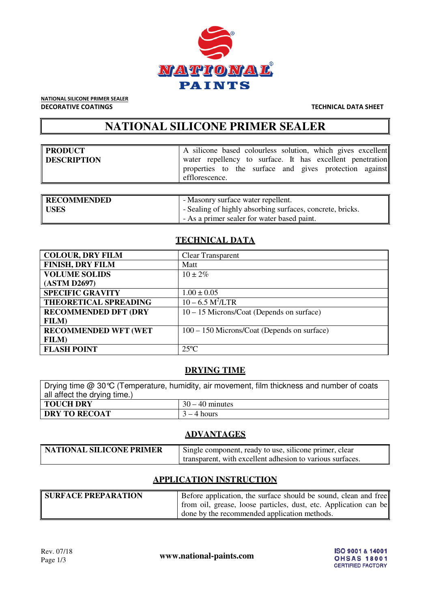

NATIONAL SILICONE PRIMER SEALER DECORATIVE COATINGS TECHNICAL DATA SHEET

# **NATIONAL SILICONE PRIMER SEALER**

| PRODUCT<br>DESCRIPTION | A silicone based colourless solution, which gives excellent<br>water repellency to surface. It has excellent penetration<br>properties to the surface and gives protection against<br>efflorescence. |
|------------------------|------------------------------------------------------------------------------------------------------------------------------------------------------------------------------------------------------|
| $\mathsf{Innormal}$    | $\mathbf{M}$ c $\mathbf{I}$ 11 $\mathbf{I}$                                                                                                                                                          |

| <b>RECOMMENDED</b> | - Masonry surface water repellent.                        |
|--------------------|-----------------------------------------------------------|
| USES               | - Sealing of highly absorbing surfaces, concrete, bricks. |
|                    | - As a primer sealer for water based paint.               |

## **TECHNICAL DATA**

| <b>COLOUR, DRY FILM</b>      | <b>Clear Transparent</b>                    |
|------------------------------|---------------------------------------------|
| <b>FINISH, DRY FILM</b>      | Matt                                        |
| <b>VOLUME SOLIDS</b>         | $10 \pm 2\%$                                |
| (ASTM D2697)                 |                                             |
| <b>SPECIFIC GRAVITY</b>      | $1.00 \pm 0.05$                             |
| <b>THEORETICAL SPREADING</b> | $10 - 6.5 M^2 / LTR$                        |
| <b>RECOMMENDED DFT (DRY</b>  | $10 - 15$ Microns/Coat (Depends on surface) |
| <b>FILM</b> )                |                                             |
| <b>RECOMMENDED WFT (WET</b>  | 100 – 150 Microns/Coat (Depends on surface) |
| <b>FILM</b>                  |                                             |
| <b>FLASH POINT</b>           | $25^{\circ}C$                               |

## **DRYING TIME**

| Drying time $@30^{\circ}\text{C}$ (Temperature, humidity, air movement, film thickness and number of coats |                   |  |
|------------------------------------------------------------------------------------------------------------|-------------------|--|
| all affect the drying time.)                                                                               |                   |  |
| <b>TOUCH DRY</b>                                                                                           | $30 - 40$ minutes |  |
| <b>DRY TO RECOAT</b>                                                                                       | $3 - 4$ hours     |  |

## **ADVANTAGES**

| NATIONAL SILICONE PRIMER | Single component, ready to use, silicone primer, clear    |
|--------------------------|-----------------------------------------------------------|
|                          | transparent, with excellent adhesion to various surfaces. |

## **APPLICATION INSTRUCTION**

| <b>SURFACE PREPARATION</b> | Before application, the surface should be sound, clean and free<br>from oil, grease, loose particles, dust, etc. Application can be |
|----------------------------|-------------------------------------------------------------------------------------------------------------------------------------|
|                            | done by the recommended application methods.                                                                                        |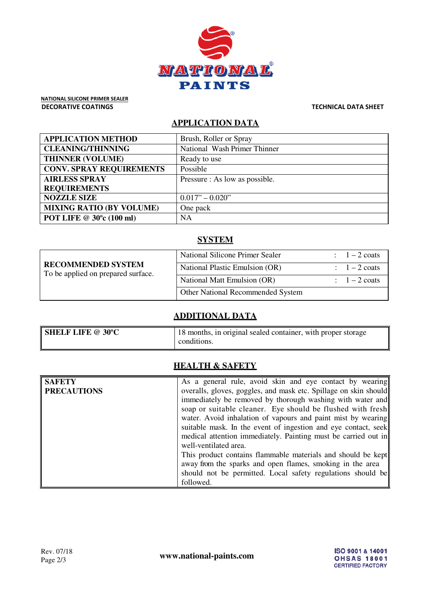

NATIONAL SILICONE PRIMER SEALER DECORATIVE COATINGS TECHNICAL DATA SHEET

## **APPLICATION DATA**

| <b>APPLICATION METHOD</b>       | Brush, Roller or Spray         |
|---------------------------------|--------------------------------|
| <b>CLEANING/THINNING</b>        | National Wash Primer Thinner   |
| <b>THINNER (VOLUME)</b>         | Ready to use                   |
| <b>CONV. SPRAY REQUIREMENTS</b> | Possible                       |
| <b>AIRLESS SPRAY</b>            | Pressure : As low as possible. |
| <b>REQUIREMENTS</b>             |                                |
| <b>NOZZLE SIZE</b>              | $0.017" - 0.020"$              |
| <b>MIXING RATIO (BY VOLUME)</b> | One pack                       |
| POT LIFE @ 30°c (100 ml)        | <b>NA</b>                      |

## **SYSTEM**

| <b>RECOMMENDED SYSTEM</b><br>To be applied on prepared surface. | National Silicone Primer Sealer   | $1-2$ coats           |
|-----------------------------------------------------------------|-----------------------------------|-----------------------|
|                                                                 | National Plastic Emulsion (OR)    | $1-2$ coats           |
|                                                                 | National Matt Emulsion (OR)       | $1 - 2 \text{ const}$ |
|                                                                 | Other National Recommended System |                       |

## **ADDITIONAL DATA**

| <b>SHELF LIFE @ 30°C</b> | 18 months, in original sealed container, with proper storage |
|--------------------------|--------------------------------------------------------------|
|                          | conditions.                                                  |

## **HEALTH & SAFETY**

| <b>SAFETY</b>      | As a general rule, avoid skin and eye contact by wearing         |  |
|--------------------|------------------------------------------------------------------|--|
| <b>PRECAUTIONS</b> | overalls, gloves, goggles, and mask etc. Spillage on skin should |  |
|                    | immediately be removed by thorough washing with water and        |  |
|                    | soap or suitable cleaner. Eye should be flushed with fresh       |  |
|                    | water. Avoid inhalation of vapours and paint mist by wearing     |  |
|                    | suitable mask. In the event of ingestion and eye contact, seek   |  |
|                    | medical attention immediately. Painting must be carried out in   |  |
|                    | well-ventilated area.                                            |  |
|                    | This product contains flammable materials and should be kept     |  |
|                    | away from the sparks and open flames, smoking in the area        |  |
|                    | should not be permitted. Local safety regulations should be      |  |
|                    | followed.                                                        |  |